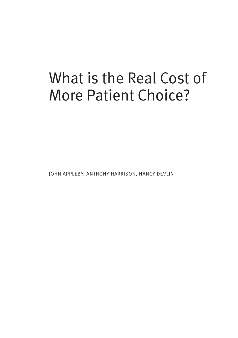# What is the Real Cost of More Patient Choice?

JOHN APPLEBY, ANTHONY HARRISON, NANCY DEVLIN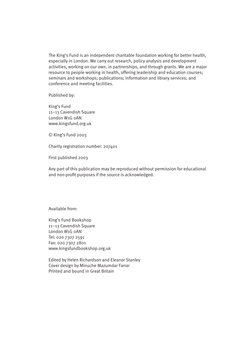The King's Fund is an independent charitable foundation working for better health, especially in London. We carry out research, policy analysis and development activities, working on our own, in partnerships, and through grants. We are a major resource to people working in health, offering leadership and education courses; seminars and workshops; publications; information and library services; and conference and meeting facilities.

Published by:

King's Fund 11–13 Cavendish Square London W1G 0AN www.kingsfund.org.uk

© King's Fund 2003

Charity registration number: 207401

First published 2003

Any part of this publication may be reproduced without permission for educational and non-profit purposes if the source is acknowledged.

Available from:

King's Fund Bookshop 11–13 Cavendish Square London W1G 0AN Tel: 020 7307 2591 Fax: 020 7307 2801 www.kingsfundbookshop.org.uk

Edited by Helen Richardson and Eleanor Stanley Cover design by Minuche Mazumdar Farrar Printed and bound in Great Britain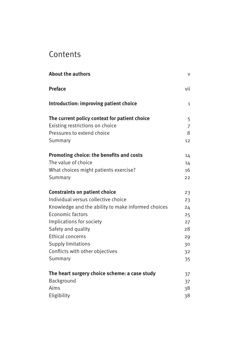# Contents

| <b>About the authors</b>                           | V   |
|----------------------------------------------------|-----|
| <b>Preface</b>                                     | vii |
| Introduction: improving patient choice             | 1   |
| The current policy context for patient choice      | 5   |
| Existing restrictions on choice                    | 7   |
| Pressures to extend choice                         | 8   |
| Summary                                            | 12  |
| Promoting choice: the benefits and costs           | 14  |
| The value of choice                                | 14  |
| What choices might patients exercise?              | 16  |
| Summary                                            | 22  |
| <b>Constraints on patient choice</b>               | 23  |
| Individual versus collective choice                | 23  |
| Knowledge and the ability to make informed choices | 24  |
| Economic factors                                   | 25  |
| Implications for society                           | 27  |
| Safety and quality                                 | 28  |
| <b>Ethical concerns</b>                            | 29  |
| <b>Supply limitations</b>                          | 30  |
| Conflicts with other objectives                    | 32  |
| Summary                                            | 35  |
| The heart surgery choice scheme: a case study      | 37  |
| Background                                         | 37  |
| Aims                                               | 38  |
| Eligibility                                        | 38  |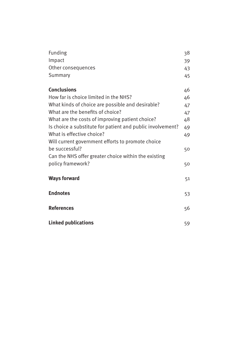| Funding                                                    | 38 |
|------------------------------------------------------------|----|
| Impact                                                     | 39 |
| Other consequences                                         | 43 |
| Summary                                                    | 45 |
| <b>Conclusions</b>                                         | 46 |
| How far is choice limited in the NHS?                      |    |
|                                                            | 46 |
| What kinds of choice are possible and desirable?           | 47 |
| What are the benefits of choice?                           | 47 |
| What are the costs of improving patient choice?            | 48 |
| Is choice a substitute for patient and public involvement? | 49 |
| What is effective choice?                                  | 49 |
| Will current government efforts to promote choice          |    |
| be successful?                                             | 50 |
| Can the NHS offer greater choice within the existing       |    |
| policy framework?                                          | 50 |
| <b>Ways forward</b>                                        | 51 |
|                                                            |    |
| <b>Endnotes</b>                                            | 53 |
| <b>References</b>                                          | 56 |
|                                                            |    |
| <b>Linked publications</b>                                 | 59 |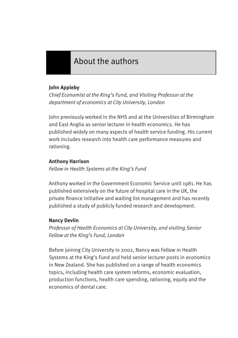# About the authors

## **John Appleby**

*Chief Economist at the King's Fund, and Visiting Professor at the department of economics at City University, London*

John previously worked in the NHS and at the Universities of Birmingham and East Anglia as senior lecturer in health economics. He has published widely on many aspects of health service funding. His current work includes research into health care performance measures and rationing.

#### **Anthony Harrison**

*Fellow in Health Systems at the King's Fund*

Anthony worked in the Government Economic Service until 1981. He has published extensively on the future of hospital care in the UK, the private finance initiative and waiting list management and has recently published a study of publicly funded research and development.

## **Nancy Devlin**

*Professor of Health Economics at City University, and visiting Senior Fellow at the King's Fund, London* 

Before joining City University in 2002, Nancy was Fellow in Health Systems at the King's Fund and held senior lecturer posts in economics in New Zealand. She has published on a range of health economics topics, including health care system reforms, economic evaluation, production functions, health care spending, rationing, equity and the economics of dental care.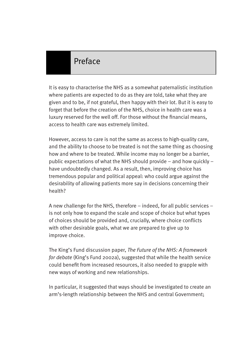# Preface

It is easy to characterise the NHS as a somewhat paternalistic institution where patients are expected to do as they are told, take what they are given and to be, if not grateful, then happy with their lot. But it is easy to forget that before the creation of the NHS, choice in health care was a luxury reserved for the well off. For those without the financial means, access to health care was extremely limited.

However, access to care is not the same as access to high-quality care, and the ability to choose to be treated is not the same thing as choosing how and where to be treated. While income may no longer be a barrier, public expectations of what the NHS should provide – and how quickly – have undoubtedly changed. As a result, then, improving choice has tremendous popular and political appeal: who could argue against the desirability of allowing patients more say in decisions concerning their health?

A new challenge for the NHS, therefore – indeed, for all public services – is not only how to expand the scale and scope of choice but what types of choices should be provided and, crucially, where choice conflicts with other desirable goals, what we are prepared to give up to improve choice.

The King's Fund discussion paper, *The Future of the NHS: A framework for debate* (King's Fund 2002a), suggested that while the health service could benefit from increased resources, it also needed to grapple with new ways of working and new relationships.

In particular, it suggested that ways should be investigated to create an arm's-length relationship between the NHS and central Government;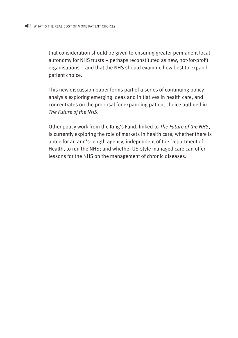that consideration should be given to ensuring greater permanent local autonomy for NHS trusts – perhaps reconstituted as new, not-for-profit organisations – and that the NHS should examine how best to expand patient choice.

This new discussion paper forms part of a series of continuing policy analysis exploring emerging ideas and initiatives in health care, and concentrates on the proposal for expanding patient choice outlined in *The Future of the NHS*.

Other policy work from the King's Fund, linked to *The Future of the NHS*, is currently exploring the role of markets in health care; whether there is a role for an arm's-length agency, independent of the Department of Health, to run the NHS; and whether US-style managed care can offer lessons for the NHS on the management of chronic diseases.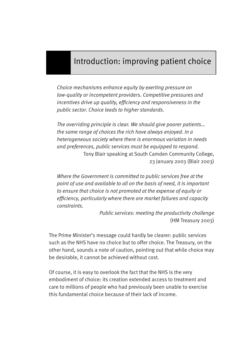# Introduction: improving patient choice

*Choice mechanisms enhance equity by exerting pressure on low-quality or incompetent providers. Competitive pressures and incentives drive up quality, efficiency and responsiveness in the public sector. Choice leads to higher standards.* 

*The overriding principle is clear. We should give poorer patients… the same range of choices the rich have always enjoyed. In a heterogeneous society where there is enormous variation in needs and preferences, public services must be equipped to respond.* Tony Blair speaking at South Camden Community College, 23 January 2003 (Blair 2003)

*Where the Government is committed to public services free at the point of use and available to all on the basis of need, it is important to ensure that choice is not promoted at the expense of equity or efficiency, particularly where there are market failures and capacity constraints.*

> *Public services: meeting the productivity challenge* (HM Treasury 2003)

The Prime Minister's message could hardly be clearer: public services such as the NHS have no choice but to offer choice. The Treasury, on the other hand, sounds a note of caution, pointing out that while choice may be desirable, it cannot be achieved without cost.

Of course, it is easy to overlook the fact that the NHS is the very embodiment of choice: its creation extended access to treatment and care to millions of people who had previously been unable to exercise this fundamental choice because of their lack of income.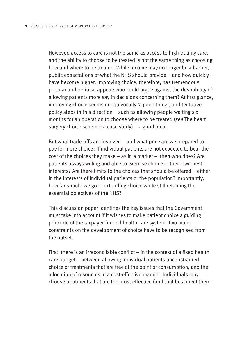However, access to care is not the same as access to high-quality care, and the ability to choose to be treated is not the same thing as choosing how and where to be treated. While income may no longer be a barrier, public expectations of what the NHS should provide – and how quickly – have become higher. Improving choice, therefore, has tremendous popular and political appeal: who could argue against the desirability of allowing patients more say in decisions concerning them? At first glance, improving choice seems unequivocally 'a good thing', and tentative policy steps in this direction – such as allowing people waiting six months for an operation to choose where to be treated (*see* The heart surgery choice scheme: a case study) – a good idea.

But what trade-offs are involved – and what price are we prepared to pay for more choice? If individual patients are not expected to bear the cost of the choices they make – as in a market – then who does? Are patients always willing and able to exercise choice in their own best interests? Are there limits to the choices that should be offered – either in the interests of individual patients or the population? Importantly, how far should we go in extending choice while still retaining the essential objectives of the NHS?

This discussion paper identifies the key issues that the Government must take into account if it wishes to make patient choice a guiding principle of the taxpayer-funded health care system. Two major constraints on the development of choice have to be recognised from the outset.

First, there is an irreconcilable conflict – in the context of a fixed health care budget – between allowing individual patients unconstrained choice of treatments that are free at the point of consumption, and the allocation of resources in a cost-effective manner. Individuals may choose treatments that are the most effective (and that best meet their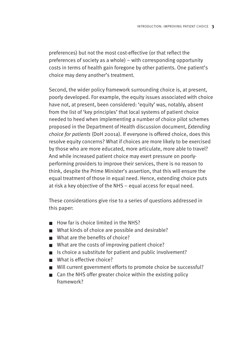preferences) but not the most cost-effective (or that reflect the preferences of society as a whole) – with corresponding opportunity costs in terms of health gain foregone by other patients. One patient's choice may deny another's treatment.

Second, the wider policy framework surrounding choice is, at present, poorly developed. For example, the equity issues associated with choice have not, at present, been considered: 'equity' was, notably, absent from the list of 'key principles' that local systems of patient choice needed to heed when implementing a number of choice pilot schemes proposed in the Department of Health discussion document, *Extending choice for patients* (DoH 2001a). If everyone is offered choice, does this resolve equity concerns? What if choices are more likely to be exercised by those who are more educated, more articulate, more able to travel? And while increased patient choice may exert pressure on poorlyperforming providers to improve their services, there is no reason to think, despite the Prime Minister's assertion, that this will ensure the equal treatment of those in equal need. Hence, extending choice puts at risk a key objective of the NHS – equal access for equal need.

These considerations give rise to a series of questions addressed in this paper:

- How far is choice limited in the NHS?
- What kinds of choice are possible and desirable?
- What are the benefits of choice?
- What are the costs of improving patient choice?
- Is choice a substitute for patient and public involvement?
- What is effective choice?
- Will current government efforts to promote choice be successful?
- Can the NHS offer greater choice within the existing policy framework?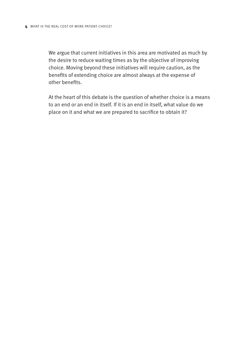We argue that current initiatives in this area are motivated as much by the desire to reduce waiting times as by the objective of improving choice. Moving beyond these initiatives will require caution, as the benefits of extending choice are almost always at the expense of other benefits.

At the heart of this debate is the question of whether choice is a means to an end or an end in itself. If it is an end in itself, what value do we place on it and what we are prepared to sacrifice to obtain it?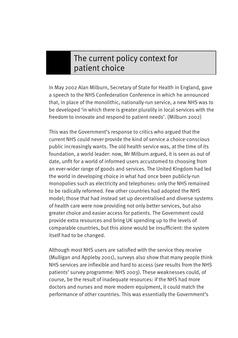# The current policy context for patient choice

In May 2002 Alan Milburn, Secretary of State for Health in England, gave a speech to the NHS Confederation Conference in which he announced that, in place of the monolithic, nationally-run service, a new NHS was to be developed 'in which there is greater plurality in local services with the freedom to innovate and respond to patient needs'. (Milburn 2002)

This was the Government's response to critics who argued that the current NHS could never provide the kind of service a choice-conscious public increasingly wants. The old health service was, at the time of its foundation, a world leader: now, Mr Milburn argued, it is seen as out of date, unfit for a world of informed users accustomed to choosing from an ever-wider range of goods and services. The United Kingdom had led the world in developing choice in what had once been publicly-run monopolies such as electricity and telephones: only the NHS remained to be radically reformed. Few other countries had adopted the NHS model; those that had instead set up decentralised and diverse systems of health care were now providing not only better services, but also greater choice and easier access for patients. The Government could provide extra resources and bring UK spending up to the levels of comparable countries, but this alone would be insufficient: the system itself had to be changed.

Although most NHS users are satisfied with the service they receive (Mulligan and Appleby 2001), surveys also show that many people think NHS services are inflexible and hard to access (*see* results from the NHS patients' survey programme: NHS 2003). These weaknesses could, of course, be the result of inadequate resources: if the NHS had more doctors and nurses and more modern equipment, it could match the performance of other countries. This was essentially the Government's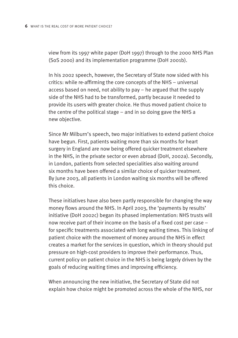view from its 1997 white paper (DoH 1997) through to the 2000 NHS Plan (SoS 2000) and its implementation programme (DoH 2001b).

In his 2002 speech, however, the Secretary of State now sided with his critics: while re-affirming the core concepts of the NHS – universal access based on need, not ability to pay – he argued that the supply side of the NHS had to be transformed, partly because it needed to provide its users with greater choice. He thus moved patient choice to the centre of the political stage – and in so doing gave the NHS a new objective.

Since Mr Milburn's speech, two major initiatives to extend patient choice have begun. First, patients waiting more than six months for heart surgery in England are now being offered quicker treatment elsewhere in the NHS, in the private sector or even abroad (DoH, 2002a). Secondly, in London, patients from selected specialities also waiting around six months have been offered a similar choice of quicker treatment. By June 2003, all patients in London waiting six months will be offered this choice.

These initiatives have also been partly responsible for changing the way money flows around the NHS. In April 2003, the 'payments by results' initiative (DoH 2002c) began its phased implementation: NHS trusts will now receive part of their income on the basis of a fixed cost per case – for specific treatments associated with long waiting times. This linking of patient choice with the movement of money around the NHS in effect creates a market for the services in question, which in theory should put pressure on high-cost providers to improve their performance. Thus, current policy on patient choice in the NHS is being largely driven by the goals of reducing waiting times and improving efficiency.

When announcing the new initiative, the Secretary of State did not explain how choice might be promoted across the whole of the NHS, nor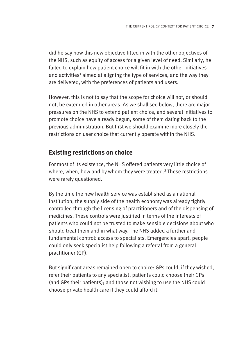did he say how this new objective fitted in with the other objectives of the NHS, such as equity of access for a given level of need. Similarly, he failed to explain how patient choice will fit in with the other initiatives and activities<sup>1</sup> aimed at aligning the type of services, and the way they are delivered, with the preferences of patients and users.

However, this is not to say that the scope for choice will not, or should not, be extended in other areas. As we shall see below, there are major pressures on the NHS to extend patient choice, and several initiatives to promote choice have already begun, some of them dating back to the previous administration. But first we should examine more closely the restrictions on user choice that currently operate within the NHS.

# **Existing restrictions on choice**

For most of its existence, the NHS offered patients very little choice of where, when, how and by whom they were treated.<sup>2</sup> These restrictions were rarely questioned.

By the time the new health service was established as a national institution, the supply side of the health economy was already tightly controlled through the licensing of practitioners and of the dispensing of medicines. These controls were justified in terms of the interests of patients who could not be trusted to make sensible decisions about who should treat them and in what way. The NHS added a further and fundamental control: access to specialists. Emergencies apart, people could only seek specialist help following a referral from a general practitioner (GP).

But significant areas remained open to choice: GPs could, if they wished, refer their patients to any specialist; patients could choose their GPs (and GPs their patients); and those not wishing to use the NHS could choose private health care if they could afford it.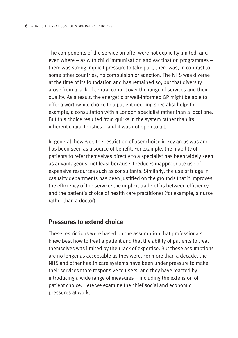The components of the service on offer were not explicitly limited, and even where – as with child immunisation and vaccination programmes – there was strong implicit pressure to take part, there was, in contrast to some other countries, no compulsion or sanction. The NHS was diverse at the time of its foundation and has remained so, but that diversity arose from a lack of central control over the range of services and their quality. As a result, the energetic or well-informed GP might be able to offer a worthwhile choice to a patient needing specialist help: for example, a consultation with a London specialist rather than a local one. But this choice resulted from quirks in the system rather than its inherent characteristics – and it was not open to all.

In general, however, the restriction of user choice in key areas was and has been seen as a source of benefit. For example, the inability of patients to refer themselves directly to a specialist has been widely seen as advantageous, not least because it reduces inappropriate use of expensive resources such as consultants. Similarly, the use of triage in casualty departments has been justified on the grounds that it improves the efficiency of the service: the implicit trade-off is between efficiency and the patient's choice of health care practitioner (for example, a nurse rather than a doctor).

## **Pressures to extend choice**

These restrictions were based on the assumption that professionals knew best how to treat a patient and that the ability of patients to treat themselves was limited by their lack of expertise. But these assumptions are no longer as acceptable as they were. For more than a decade, the NHS and other health care systems have been under pressure to make their services more responsive to users, and they have reacted by introducing a wide range of measures – including the extension of patient choice. Here we examine the chief social and economic pressures at work.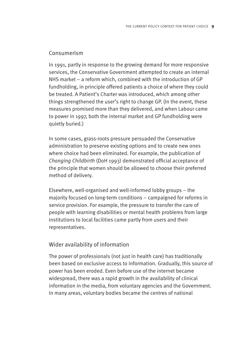## Consumerism

In 1991, partly in response to the growing demand for more responsive services, the Conservative Government attempted to create an internal NHS market – a reform which, combined with the introduction of GP fundholding, in principle offered patients a choice of where they could be treated. A Patient's Charter was introduced, which among other things strengthened the user's right to change GP. (In the event, these measures promised more than they delivered, and when Labour came to power in 1997, both the internal market and GP fundholding were quietly buried.)

In some cases, grass-roots pressure persuaded the Conservative administration to preserve existing options and to create new ones where choice had been eliminated. For example, the publication of *Changing Childbirth* (DoH 1993) demonstrated official acceptance of the principle that women should be allowed to choose their preferred method of delivery.

Elsewhere, well-organised and well-informed lobby groups – the majority focused on long-term conditions – campaigned for reforms in service provision. For example, the pressure to transfer the care of people with learning disabilities or mental health problems from large institutions to local facilities came partly from users and their representatives.

# Wider availability of information

The power of professionals (not just in health care) has traditionally been based on exclusive access to information. Gradually, this source of power has been eroded. Even before use of the internet became widespread, there was a rapid growth in the availability of clinical information in the media, from voluntary agencies and the Government. In many areas, voluntary bodies became the centres of national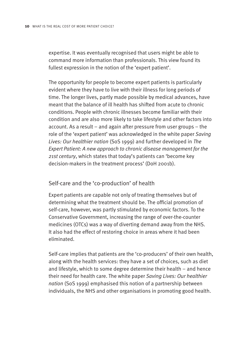expertise. It was eventually recognised that users might be able to command more information than professionals. This view found its fullest expression in the notion of the 'expert patient'.

The opportunity for people to become expert patients is particularly evident where they have to live with their illness for long periods of time. The longer lives, partly made possible by medical advances, have meant that the balance of ill health has shifted from acute to chronic conditions. People with chronic illnesses become familiar with their condition and are also more likely to take lifestyle and other factors into account. As a result – and again after pressure from user groups – the role of the 'expert patient' was acknowledged in the white paper *Saving Lives: Our healthier nation* (SoS 1999) and further developed in *The Expert Patient: A new approach to chronic disease management for the 21st century*, which states that today's patients can 'become key decision-makers in the treatment process' (DoH 2001b).

#### Self-care and the 'co-production' of health

Expert patients are capable not only of treating themselves but of determining what the treatment should be. The official promotion of self-care, however, was partly stimulated by economic factors. To the Conservative Government, increasing the range of over-the-counter medicines (OTCs) was a way of diverting demand away from the NHS. It also had the effect of restoring choice in areas where it had been eliminated.

Self-care implies that patients are the 'co-producers' of their own health, along with the health services: they have a set of choices, such as diet and lifestyle, which to some degree determine their health – and hence their need for health care. The white paper *Saving Lives: Our healthier nation* (SoS 1999) emphasised this notion of a partnership between individuals, the NHS and other organisations in promoting good health.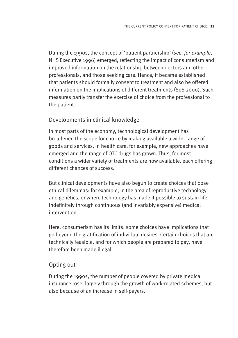During the 1990s, the concept of 'patient partnership' (*see, for example*, NHS Executive 1996) emerged, reflecting the impact of consumerism and improved information on the relationship between doctors and other professionals, and those seeking care. Hence, it became established that patients should formally consent to treatment and also be offered information on the implications of different treatments (SoS 2000). Such measures partly transfer the exercise of choice from the professional to the patient.

## Developments in clinical knowledge

In most parts of the economy, technological development has broadened the scope for choice by making available a wider range of goods and services. In health care, for example, new approaches have emerged and the range of OTC drugs has grown. Thus, for most conditions a wider variety of treatments are now available, each offering different chances of success.

But clinical developments have also begun to create choices that pose ethical dilemmas: for example, in the area of reproductive technology and genetics, or where technology has made it possible to sustain life indefinitely through continuous (and invariably expensive) medical intervention.

Here, consumerism has its limits: some choices have implications that go beyond the gratification of individual desires. Certain choices that are technically feasible, and for which people are prepared to pay, have therefore been made illegal.

## Opting out

During the 1990s, the number of people covered by private medical insurance rose, largely through the growth of work-related schemes, but also because of an increase in self-payers.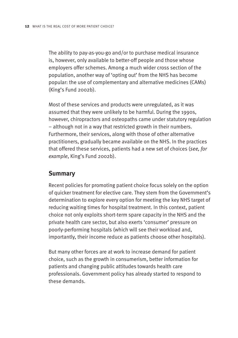The ability to pay-as-you-go and/or to purchase medical insurance is, however, only available to better-off people and those whose employers offer schemes. Among a much wider cross section of the population, another way of 'opting out' from the NHS has become popular: the use of complementary and alternative medicines (CAMs) (King's Fund 2002b).

Most of these services and products were unregulated, as it was assumed that they were unlikely to be harmful. During the 1990s, however, chiropractors and osteopaths came under statutory regulation – although not in a way that restricted growth in their numbers. Furthermore, their services, along with those of other alternative practitioners, gradually became available on the NHS. In the practices that offered these services, patients had a new set of choices (*see, for example*, King's Fund 2002b).

# **Summary**

Recent policies for promoting patient choice focus solely on the option of quicker treatment for elective care. They stem from the Government's determination to explore every option for meeting the key NHS target of reducing waiting times for hospital treatment. In this context, patient choice not only exploits short-term spare capacity in the NHS and the private health care sector, but also exerts 'consumer' pressure on poorly-performing hospitals (which will see their workload and, importantly, their income reduce as patients choose other hospitals).

But many other forces are at work to increase demand for patient choice, such as the growth in consumerism, better information for patients and changing public attitudes towards health care professionals. Government policy has already started to respond to these demands.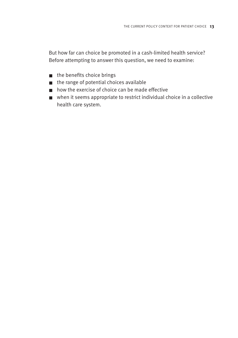But how far can choice be promoted in a cash-limited health service? Before attempting to answer this question, we need to examine:

- the benefits choice brings
- the range of potential choices available
- how the exercise of choice can be made effective
- when it seems appropriate to restrict individual choice in a collective health care system.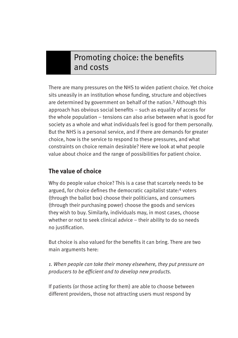# Promoting choice: the benefits and costs

There are many pressures on the NHS to widen patient choice. Yet choice sits uneasily in an institution whose funding, structure and objectives are determined by government on behalf of the nation.3 Although this approach has obvious social benefits – such as equality of access for the whole population – tensions can also arise between what is good for society as a whole and what individuals feel is good for them personally. But the NHS is a personal service, and if there are demands for greater choice, how is the service to respond to these pressures, and what constraints on choice remain desirable? Here we look at what people value about choice and the range of possibilities for patient choice.

# **The value of choice**

Why do people value choice? This is a case that scarcely needs to be argued, for choice defines the democratic capitalist state:<sup>4</sup> voters (through the ballot box) choose their politicians, and consumers (through their purchasing power) choose the goods and services they wish to buy. Similarly, individuals may, in most cases, choose whether or not to seek clinical advice – their ability to do so needs no justification.

But choice is also valued for the benefits it can bring. There are two main arguments here:

*1. When people can take their money elsewhere, they put pressure on producers to be efficient and to develop new products.* 

If patients (or those acting for them) are able to choose between different providers, those not attracting users must respond by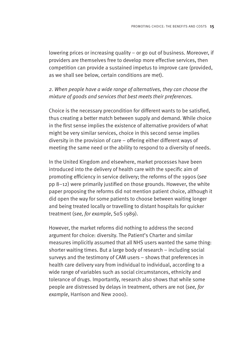lowering prices or increasing quality – or go out of business. Moreover, if providers are themselves free to develop more effective services, then competition can provide a sustained impetus to improve care (provided, as we shall see below, certain conditions are met).

## *2. When people have a wide range of alternatives, they can choose the mixture of goods and services that best meets their preferences.*

Choice is the necessary precondition for different wants to be satisfied, thus creating a better match between supply and demand. While choice in the first sense implies the existence of alternative providers of what might be very similar services, choice in this second sense implies diversity in the provision of care – offering either different ways of meeting the same need or the ability to respond to a diversity of needs.

In the United Kingdom and elsewhere, market processes have been introduced into the delivery of health care with the specific aim of promoting efficiency in service delivery; the reforms of the 1990s (*see* pp 8–12) were primarily justified on those grounds. However, the white paper proposing the reforms did not mention patient choice, although it did open the way for some patients to choose between waiting longer and being treated locally or travelling to distant hospitals for quicker treatment (*see, for example*, SoS 1989).

However, the market reforms did nothing to address the second argument for choice: diversity. The Patient's Charter and similar measures implicitly assumed that all NHS users wanted the same thing: shorter waiting times. But a large body of research – including social surveys and the testimony of CAM users – shows that preferences in health care delivery vary from individual to individual, according to a wide range of variables such as social circumstances, ethnicity and tolerance of drugs. Importantly, research also shows that while some people are distressed by delays in treatment, others are not (*see, for example*, Harrison and New 2000).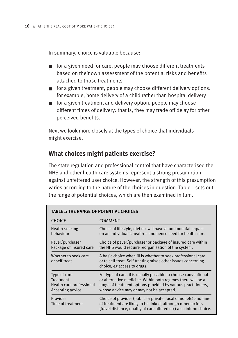In summary, choice is valuable because:

- for a given need for care, people may choose different treatments based on their own assessment of the potential risks and benefits attached to those treatments
- for a given treatment, people may choose different delivery options: for example, home delivery of a child rather than hospital delivery
- for a given treatment and delivery option, people may choose different times of delivery: that is, they may trade off delay for other perceived benefits.

Next we look more closely at the types of choice that individuals might exercise.

# **What choices might patients exercise?**

The state regulation and professional control that have characterised the NHS and other health care systems represent a strong presumption against unfettered user choice. However, the strength of this presumption varies according to the nature of the choices in question. Table 1 sets out the range of potential choices, which are then examined in turn.

| <b>TABLE 1: THE RANGE OF POTENTIAL CHOICES</b>                            |                                                                                                                                                                                                                                              |  |
|---------------------------------------------------------------------------|----------------------------------------------------------------------------------------------------------------------------------------------------------------------------------------------------------------------------------------------|--|
| <b>CHOICE</b>                                                             | <b>COMMENT</b>                                                                                                                                                                                                                               |  |
| Health-seeking<br>behaviour                                               | Choice of lifestyle, diet etc will have a fundamental impact<br>on an individual's health – and hence need for health care.                                                                                                                  |  |
| Payer/purchaser<br>Package of insured care                                | Choice of payer/purchaser or package of insured care within<br>the NHS would require reorganisation of the system.                                                                                                                           |  |
| Whether to seek care<br>or self-treat                                     | A basic choice when ill is whether to seek professional care<br>or to self-treat. Self-treating raises other issues concerning<br>choice, eg access to drugs.                                                                                |  |
| Type of care<br>Treatment<br>Health care professional<br>Accepting advice | For type of care, it is usually possible to choose conventional<br>or alternative medicine. Within both regimes there will be a<br>range of treatment options provided by various practitioners,<br>whose advice may or may not be accepted. |  |
| Provider<br>Time of treatment                                             | Choice of provider (public or private, local or not etc) and time<br>of treatment are likely to be linked, although other factors<br>(travel distance, quality of care offered etc) also inform choice.                                      |  |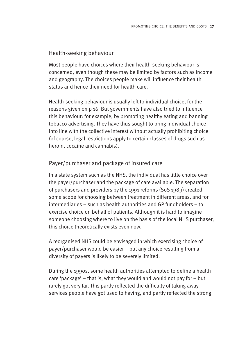## Health-seeking behaviour

Most people have choices where their health-seeking behaviour is concerned, even though these may be limited by factors such as income and geography. The choices people make will influence their health status and hence their need for health care.

Health-seeking behaviour is usually left to individual choice, for the reasons given on p 16. But governments have also tried to influence this behaviour: for example, by promoting healthy eating and banning tobacco advertising. They have thus sought to bring individual choice into line with the collective interest without actually prohibiting choice (of course, legal restrictions apply to certain classes of drugs such as heroin, cocaine and cannabis).

# Payer/purchaser and package of insured care

In a state system such as the NHS, the individual has little choice over the payer/purchaser and the package of care available. The separation of purchasers and providers by the 1991 reforms (SoS 1989) created some scope for choosing between treatment in different areas, and for intermediaries – such as health authorities and GP fundholders – to exercise choice on behalf of patients. Although it is hard to imagine someone choosing where to live on the basis of the local NHS purchaser, this choice theoretically exists even now.

A reorganised NHS could be envisaged in which exercising choice of payer/purchaser would be easier – but any choice resulting from a diversity of payers is likely to be severely limited.

During the 1990s, some health authorities attempted to define a health care 'package' – that is, what they would and would not pay for – but rarely got very far. This partly reflected the difficulty of taking away services people have got used to having, and partly reflected the strong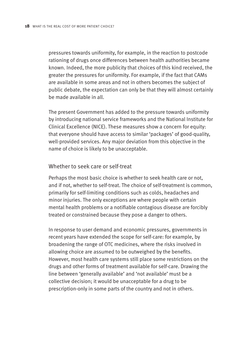pressures towards uniformity, for example, in the reaction to postcode rationing of drugs once differences between health authorities became known. Indeed, the more publicity that choices of this kind received, the greater the pressures for uniformity. For example, if the fact that CAMs are available in some areas and not in others becomes the subject of public debate, the expectation can only be that they will almost certainly be made available in all.

The present Government has added to the pressure towards uniformity by introducing national service frameworks and the National Institute for Clinical Excellence (NICE). These measures show a concern for equity: that everyone should have access to similar 'packages' of good-quality, well-provided services. Any major deviation from this objective in the name of choice is likely to be unacceptable.

#### Whether to seek care or self-treat

Perhaps the most basic choice is whether to seek health care or not, and if not, whether to self-treat. The choice of self-treatment is common, primarily for self-limiting conditions such as colds, headaches and minor injuries. The only exceptions are where people with certain mental health problems or a notifiable contagious disease are forcibly treated or constrained because they pose a danger to others.

In response to user demand and economic pressures, governments in recent years have extended the scope for self-care: for example, by broadening the range of OTC medicines, where the risks involved in allowing choice are assumed to be outweighed by the benefits. However, most health care systems still place some restrictions on the drugs and other forms of treatment available for self-care. Drawing the line between 'generally available' and 'not available' must be a collective decision; it would be unacceptable for a drug to be prescription-only in some parts of the country and not in others.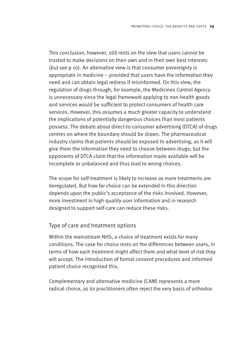This conclusion, however, still rests on the view that users cannot be trusted to make decisions on their own and in their own best interests (*but see* p 10). An alternative view is that consumer sovereignty is appropriate in medicine – provided that users have the information they need and can obtain legal redress if misinformed. On this view, the regulation of drugs through, for example, the Medicines Control Agency is unnecessary since the legal framework applying to non-health goods and services would be sufficient to protect consumers of health care services. However, this assumes a much greater capacity to understand the implications of potentially dangerous choices than most patients possess. The debate about direct-to-consumer advertising (DTCA) of drugs centres on where the boundary should be drawn. The pharmaceutical industry claims that patients should be exposed to advertising, as it will give them the information they need to choose between drugs; but the opponents of DTCA claim that the information made available will be incomplete or unbalanced and thus lead to wrong choices.

The scope for self-treatment is likely to increase as more treatments are deregulated. But how far choice can be extended in this direction depends upon the public's acceptance of the risks involved. However, more investment in high-quality user information and in research designed to support self-care can reduce these risks.

## Type of care and treatment options

Within the mainstream NHS, a choice of treatment exists for many conditions. The case for choice rests on the differences between users, in terms of how each treatment might affect them and what level of risk they will accept. The introduction of formal consent procedures and informed patient choice recognised this.

Complementary and alternative medicine (CAM) represents a more radical choice, as its practitioners often reject the very basis of orthodox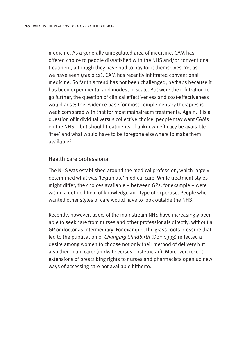medicine. As a generally unregulated area of medicine, CAM has offered choice to people dissatisfied with the NHS and/or conventional treatment, although they have had to pay for it themselves. Yet as we have seen (*see* p 12), CAM has recently infiltrated conventional medicine. So far this trend has not been challenged, perhaps because it has been experimental and modest in scale. But were the infiltration to go further, the question of clinical effectiveness and cost-effectiveness would arise; the evidence base for most complementary therapies is weak compared with that for most mainstream treatments. Again, it is a question of individual versus collective choice: people may want CAMs on the NHS – but should treatments of unknown efficacy be available 'free' and what would have to be foregone elsewhere to make them available?

#### Health care professional

The NHS was established around the medical profession, which largely determined what was 'legitimate' medical care. While treatment styles might differ, the choices available – between GPs, for example – were within a defined field of knowledge and type of expertise. People who wanted other styles of care would have to look outside the NHS.

Recently, however, users of the mainstream NHS have increasingly been able to seek care from nurses and other professionals directly, without a GP or doctor as intermediary. For example, the grass-roots pressure that led to the publication of *Changing Childbirth* (DoH 1993) reflected a desire among women to choose not only their method of delivery but also their main carer (midwife versus obstetrician). Moreover, recent extensions of prescribing rights to nurses and pharmacists open up new ways of accessing care not available hitherto.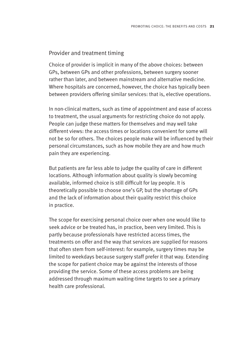#### Provider and treatment timing

Choice of provider is implicit in many of the above choices: between GPs, between GPs and other professions, between surgery sooner rather than later, and between mainstream and alternative medicine. Where hospitals are concerned, however, the choice has typically been between providers offering similar services: that is, elective operations.

In non-clinical matters, such as time of appointment and ease of access to treatment, the usual arguments for restricting choice do not apply. People can judge these matters for themselves and may well take different views: the access times or locations convenient for some will not be so for others. The choices people make will be influenced by their personal circumstances, such as how mobile they are and how much pain they are experiencing.

But patients are far less able to judge the quality of care in different locations. Although information about quality is slowly becoming available, informed choice is still difficult for lay people. It is theoretically possible to choose one's GP, but the shortage of GPs and the lack of information about their quality restrict this choice in practice.

The scope for exercising personal choice over when one would like to seek advice or be treated has, in practice, been very limited. This is partly because professionals have restricted access times, the treatments on offer and the way that services are supplied for reasons that often stem from self-interest: for example, surgery times may be limited to weekdays because surgery staff prefer it that way. Extending the scope for patient choice may be against the interests of those providing the service. Some of these access problems are being addressed through maximum waiting-time targets to see a primary health care professional.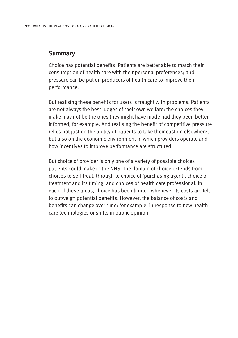#### **Summary**

Choice has potential benefits. Patients are better able to match their consumption of health care with their personal preferences; and pressure can be put on producers of health care to improve their performance.

But realising these benefits for users is fraught with problems. Patients are not always the best judges of their own welfare: the choices they make may not be the ones they might have made had they been better informed, for example. And realising the benefit of competitive pressure relies not just on the ability of patients to take their custom elsewhere, but also on the economic environment in which providers operate and how incentives to improve performance are structured.

But choice of provider is only one of a variety of possible choices patients could make in the NHS. The domain of choice extends from choices to self-treat, through to choice of 'purchasing agent', choice of treatment and its timing, and choices of health care professional. In each of these areas, choice has been limited whenever its costs are felt to outweigh potential benefits. However, the balance of costs and benefits can change over time: for example, in response to new health care technologies or shifts in public opinion.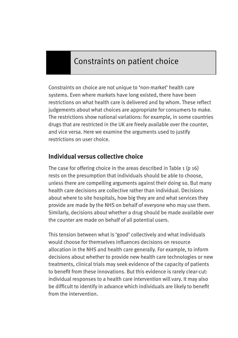# Constraints on patient choice

Constraints on choice are not unique to 'non-market' health care systems. Even where markets have long existed, there have been restrictions on what health care is delivered and by whom. These reflect judgements about what choices are appropriate for consumers to make. The restrictions show national variations: for example, in some countries drugs that are restricted in the UK are freely available over the counter, and vice versa. Here we examine the arguments used to justify restrictions on user choice.

# **Individual versus collective choice**

The case for offering choice in the areas described in Table  $1$  (p  $16$ ) rests on the presumption that individuals should be able to choose, unless there are compelling arguments against their doing so. But many health care decisions are collective rather than individual. Decisions about where to site hospitals, how big they are and what services they provide are made by the NHS on behalf of everyone who may use them. Similarly, decisions about whether a drug should be made available over the counter are made on behalf of all potential users.

This tension between what is 'good' collectively and what individuals would choose for themselves influences decisions on resource allocation in the NHS and health care generally. For example, to inform decisions about whether to provide new health care technologies or new treatments, clinical trials may seek evidence of the capacity of patients to benefit from these innovations. But this evidence is rarely clear-cut: individual responses to a health care intervention will vary. It may also be difficult to identify in advance which individuals are likely to benefit from the intervention.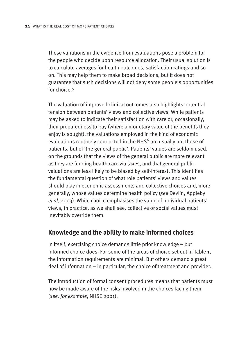These variations in the evidence from evaluations pose a problem for the people who decide upon resource allocation. Their usual solution is to calculate averages for health outcomes, satisfaction ratings and so on. This may help them to make broad decisions, but it does not guarantee that such decisions will not deny some people's opportunities for choice 5

The valuation of improved clinical outcomes also highlights potential tension between patients' views and collective views. While patients may be asked to indicate their satisfaction with care or, occasionally, their preparedness to pay (where a monetary value of the benefits they enjoy is sought), the valuations employed in the kind of economic evaluations routinely conducted in the NHS<sup>6</sup> are usually not those of patients, but of 'the general public'. Patients' values are seldom used, on the grounds that the views of the general public are more relevant as they are funding health care via taxes, and that general public valuations are less likely to be biased by self-interest. This identifies the fundamental question of what role patients' views and values should play in economic assessments and collective choices and, more generally, whose values determine health policy (*see* Devlin, Appleby *et al*, 2003). While choice emphasises the value of individual patients' views, in practice, as we shall see, collective or social values must inevitably override them.

# **Knowledge and the ability to make informed choices**

In itself, exercising choice demands little prior knowledge – but informed choice does. For some of the areas of choice set out in Table 1, the information requirements are minimal. But others demand a great deal of information – in particular, the choice of treatment and provider.

The introduction of formal consent procedures means that patients must now be made aware of the risks involved in the choices facing them (*see, for example*, NHSE 2001).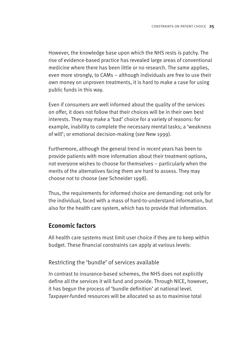However, the knowledge base upon which the NHS rests is patchy. The rise of evidence-based practice has revealed large areas of conventional medicine where there has been little or no research. The same applies, even more strongly, to CAMs – although individuals are free to use their own money on unproven treatments, it is hard to make a case for using public funds in this way.

Even if consumers are well informed about the quality of the services on offer, it does not follow that their choices will be in their own best interests. They may make a 'bad' choice for a variety of reasons: for example, inability to complete the necessary mental tasks; a 'weakness of will'; or emotional decision-making (*see* New 1999).

Furthermore, although the general trend in recent years has been to provide patients with more information about their treatment options, not everyone wishes to choose for themselves – particularly when the merits of the alternatives facing them are hard to assess. They may choose not to choose (*see* Schneider 1998).

Thus, the requirements for informed choice are demanding: not only for the individual, faced with a mass of hard-to-understand information, but also for the health care system, which has to provide that information.

# **Economic factors**

All health care systems must limit user choice if they are to keep within budget. These financial constraints can apply at various levels:

# Restricting the 'bundle' of services available

In contrast to insurance-based schemes, the NHS does not explicitly define all the services it will fund and provide. Through NICE, however, it has begun the process of 'bundle definition' at national level. Taxpayer-funded resources will be allocated so as to maximise total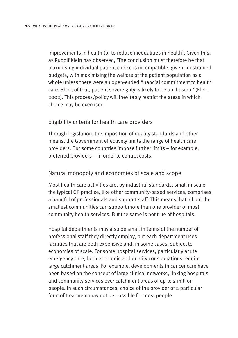improvements in health (or to reduce inequalities in health). Given this, as Rudolf Klein has observed, 'The conclusion must therefore be that maximising individual patient choice is incompatible, given constrained budgets, with maximising the welfare of the patient population as a whole unless there were an open-ended financial commitment to health care. Short of that, patient sovereignty is likely to be an illusion.' (Klein 2002). This process/policy will inevitably restrict the areas in which choice may be exercised.

#### Eligibility criteria for health care providers

Through legislation, the imposition of quality standards and other means, the Government effectively limits the range of health care providers. But some countries impose further limits – for example, preferred providers – in order to control costs.

#### Natural monopoly and economies of scale and scope

Most health care activities are, by industrial standards, small in scale: the typical GP practice, like other community-based services, comprises a handful of professionals and support staff. This means that all but the smallest communities can support more than one provider of most community health services. But the same is not true of hospitals.

Hospital departments may also be small in terms of the number of professional staff they directly employ, but each department uses facilities that are both expensive and, in some cases, subject to economies of scale. For some hospital services, particularly acute emergency care, both economic and quality considerations require large catchment areas. For example, developments in cancer care have been based on the concept of large clinical networks, linking hospitals and community services over catchment areas of up to 2 million people. In such circumstances, choice of the provider of a particular form of treatment may not be possible for most people.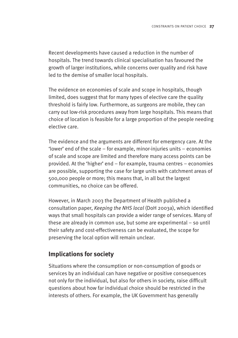Recent developments have caused a reduction in the number of hospitals. The trend towards clinical specialisation has favoured the growth of larger institutions, while concerns over quality and risk have led to the demise of smaller local hospitals.

The evidence on economies of scale and scope in hospitals, though limited, does suggest that for many types of elective care the quality threshold is fairly low. Furthermore, as surgeons are mobile, they can carry out low-risk procedures away from large hospitals. This means that choice of location is feasible for a large proportion of the people needing elective care.

The evidence and the arguments are different for emergency care. At the 'lower' end of the scale – for example, minor-injuries units – economies of scale and scope are limited and therefore many access points can be provided. At the 'higher' end – for example, trauma centres – economies are possible, supporting the case for large units with catchment areas of 500,000 people or more; this means that, in all but the largest communities, no choice can be offered.

However, in March 2003 the Department of Health published a consultation paper, *Keeping the NHS local* (DoH 2003a), which identified ways that small hospitals can provide a wider range of services. Many of these are already in common use, but some are experimental – so until their safety and cost-effectiveness can be evaluated, the scope for preserving the local option will remain unclear.

# **Implications for society**

Situations where the consumption or non-consumption of goods or services by an individual can have negative or positive consequences not only for the individual, but also for others in society, raise difficult questions about how far individual choice should be restricted in the interests of others. For example, the UK Government has generally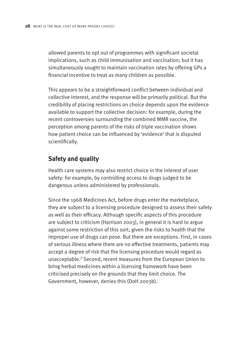allowed parents to opt out of programmes with significant societal implications, such as child immunisation and vaccination; but it has simultaneously sought to maintain vaccination rates by offering GPs a financial incentive to treat as many children as possible.

This appears to be a straightforward conflict between individual and collective interest, and the response will be primarily political. But the credibility of placing restrictions on choice depends upon the evidence available to support the collective decision: for example, during the recent controversies surrounding the combined MMR vaccine, the perception among parents of the risks of triple vaccination shows how patient choice can be influenced by 'evidence' that is disputed scientifically.

# **Safety and quality**

Health care systems may also restrict choice in the interest of user safety: for example, by controlling access to drugs judged to be dangerous unless administered by professionals.

Since the 1968 Medicines Act, before drugs enter the marketplace, they are subject to a licensing procedure designed to assess their safety as well as their efficacy. Although specific aspects of this procedure are subject to criticism (Harrison 2003), in general it is hard to argue against some restriction of this sort, given the risks to health that the improper use of drugs can pose. But there are exceptions. First, in cases of serious illness where there are no effective treatments, patients may accept a degree of risk that the licensing procedure would regard as unacceptable.7 Second, recent measures from the European Union to bring herbal medicines within a licensing framework have been criticised precisely on the grounds that they limit choice. The Government, however, denies this (DoH 2003b).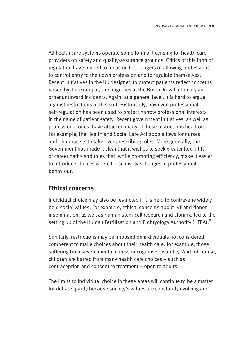All health care systems operate some form of licensing for health care providers on safety and quality-assurance grounds. Critics of this form of regulation have tended to focus on the dangers of allowing professions to control entry to their own profession and to regulate themselves. Recent initiatives in the UK designed to protect patients reflect concerns raised by, for example, the tragedies at the Bristol Royal Infirmary and other untoward incidents. Again, at a general level, it is hard to argue against restrictions of this sort. Historically, however, professional self-regulation has been used to protect narrow professional interests in the name of patient safety. Recent government initiatives, as well as professional ones, have attacked many of these restrictions head-on. For example, the Health and Social Care Act 2002 allows for nurses and pharmacists to take over prescribing roles. More generally, the Government has made it clear that it wishes to seek greater flexibility of career paths and roles that, while promoting efficiency, make it easier to introduce choices where these involve changes in professional behaviour.

## **Ethical concerns**

Individual choice may also be restricted if it is held to contravene widely held social values. For example, ethical concerns about IVF and donor insemination, as well as human stem-cell research and cloning, led to the setting up of the Human Fertilisation and Embryology Authority (HFEA).<sup>8</sup>

Similarly, restrictions may be imposed on individuals not considered competent to make choices about their health care: for example, those suffering from severe mental illness or cognitive disability. And, of course, children are barred from many health care choices – such as contraception and consent to treatment – open to adults.

The limits to individual choice in these areas will continue to be a matter for debate, partly because society's values are constantly evolving and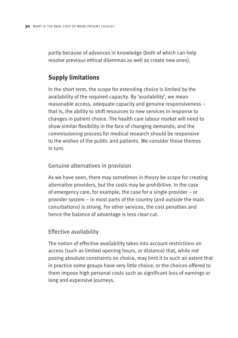partly because of advances in knowledge (both of which can help resolve previous ethical dilemmas as well as create new ones).

# **Supply limitations**

In the short term, the scope for extending choice is limited by the availability of the required capacity. By 'availability', we mean reasonable access, adequate capacity and genuine responsiveness – that is, the ability to shift resources to new services in response to changes in patient choice. The health care labour market will need to show similar flexibility in the face of changing demands; and the commissioning process for medical research should be responsive to the wishes of the public and patients. We consider these themes in turn.

#### Genuine alternatives in provision

As we have seen, there may sometimes in theory be scope for creating alternative providers, but the costs may be prohibitive. In the case of emergency care, for example, the case for a single provider – or provider system – in most parts of the country (and outside the main conurbations) is strong. For other services, the cost penalties and hence the balance of advantage is less clear-cut.

#### Effective availability

The notion of effective availability takes into account restrictions on access (such as limited opening hours, or distance) that, while not posing absolute constraints on choice, may limit it to such an extent that in practice some groups have very little choice, or the choices offered to them impose high personal costs such as significant loss of earnings or long and expensive journeys.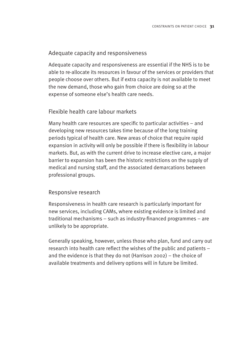#### Adequate capacity and responsiveness

Adequate capacity and responsiveness are essential if the NHS is to be able to re-allocate its resources in favour of the services or providers that people choose over others. But if extra capacity is not available to meet the new demand, those who gain from choice are doing so at the expense of someone else's health care needs.

#### Flexible health care labour markets

Many health care resources are specific to particular activities – and developing new resources takes time because of the long training periods typical of health care. New areas of choice that require rapid expansion in activity will only be possible if there is flexibility in labour markets. But, as with the current drive to increase elective care, a major barrier to expansion has been the historic restrictions on the supply of medical and nursing staff, and the associated demarcations between professional groups.

#### Responsive research

Responsiveness in health care research is particularly important for new services, including CAMs, where existing evidence is limited and traditional mechanisms – such as industry-financed programmes – are unlikely to be appropriate.

Generally speaking, however, unless those who plan, fund and carry out research into health care reflect the wishes of the public and patients – and the evidence is that they do not (Harrison 2002) – the choice of available treatments and delivery options will in future be limited.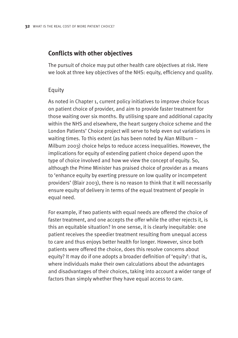#### **Conflicts with other objectives**

The pursuit of choice may put other health care objectives at risk. Here we look at three key objectives of the NHS: equity, efficiency and quality.

#### Equity

As noted in Chapter 1, current policy initiatives to improve choice focus on patient choice of provider, and aim to provide faster treatment for those waiting over six months. By utilising spare and additional capacity within the NHS and elsewhere, the heart surgery choice scheme and the London Patients' Choice project will serve to help even out variations in waiting times. To this extent (as has been noted by Alan Milburn – Milburn 2003) choice helps to reduce access inequalities. However, the implications for equity of extending patient choice depend upon the type of choice involved and how we view the concept of equity. So, although the Prime Minister has praised choice of provider as a means to 'enhance equity by exerting pressure on low quality or incompetent providers' (Blair 2003), there is no reason to think that it will necessarily ensure equity of delivery in terms of the equal treatment of people in equal need.

For example, if two patients with equal needs are offered the choice of faster treatment, and one accepts the offer while the other rejects it, is this an equitable situation? In one sense, it is clearly inequitable: one patient receives the speedier treatment resulting from unequal access to care and thus enjoys better health for longer. However, since both patients were offered the choice, does this resolve concerns about equity? It may do if one adopts a broader definition of 'equity': that is. where individuals make their own calculations about the advantages and disadvantages of their choices, taking into account a wider range of factors than simply whether they have equal access to care.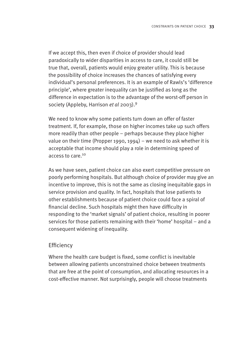If we accept this, then even if choice of provider should lead paradoxically to wider disparities in access to care, it could still be true that, overall, patients would enjoy greater utility. This is because the possibility of choice increases the chances of satisfying every individual's personal preferences. It is an example of Rawls's 'difference principle', where greater inequality can be justified as long as the difference in expectation is to the advantage of the worst-off person in society (Appleby, Harrison *et al* 2003).9

We need to know why some patients turn down an offer of faster treatment. If, for example, those on higher incomes take up such offers more readily than other people – perhaps because they place higher value on their time (Propper 1990, 1994) – we need to ask whether it is acceptable that income should play a role in determining speed of access to care.10

As we have seen, patient choice can also exert competitive pressure on poorly performing hospitals. But although choice of provider may give an incentive to improve, this is not the same as closing inequitable gaps in service provision and quality. In fact, hospitals that lose patients to other establishments because of patient choice could face a spiral of financial decline. Such hospitals might then have difficulty in responding to the 'market signals' of patient choice, resulting in poorer services for those patients remaining with their 'home' hospital – and a consequent widening of inequality.

#### **Efficiency**

Where the health care budget is fixed, some conflict is inevitable between allowing patients unconstrained choice between treatments that are free at the point of consumption, and allocating resources in a cost-effective manner. Not surprisingly, people will choose treatments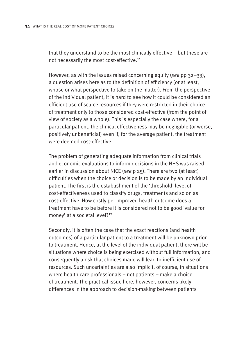that they understand to be the most clinically effective – but these are not necessarily the most cost-effective.<sup>11</sup>

However, as with the issues raised concerning equity (*see* pp 32–33), a question arises here as to the definition of efficiency (or at least, whose or what perspective to take on the matter). From the perspective of the individual patient, it is hard to see how it could be considered an efficient use of scarce resources if they were restricted in their choice of treatment only to those considered cost-effective (from the point of view of society as a whole). This is especially the case where, for a particular patient, the clinical effectiveness may be negligible (or worse, positively unbeneficial) even if, for the average patient, the treatment were deemed cost-effective.

The problem of generating adequate information from clinical trials and economic evaluations to inform decisions in the NHS was raised earlier in discussion about NICE (*see* p 25). There are two (at least) difficulties when the choice or decision is to be made by an individual patient. The first is the establishment of the 'threshold' level of cost-effectiveness used to classify drugs, treatments and so on as cost-effective. How costly per improved health outcome does a treatment have to be before it is considered not to be good 'value for money' at a societal level?<sup>12</sup>

Secondly, it is often the case that the exact reactions (and health outcomes) of a particular patient to a treatment will be unknown prior to treatment. Hence, at the level of the individual patient, there will be situations where choice is being exercised without full information, and consequently a risk that choices made will lead to inefficient use of resources. Such uncertainties are also implicit, of course, in situations where health care professionals – not patients – make a choice of treatment. The practical issue here, however, concerns likely differences in the approach to decision-making between patients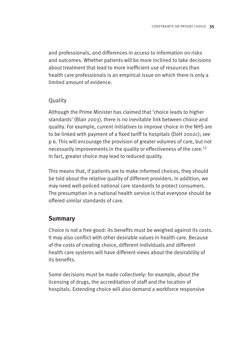and professionals, and differences in access to information on risks and outcomes. Whether patients will be more inclined to take decisions about treatment that lead to more inefficient use of resources than health care professionals is an empirical issue on which there is only a limited amount of evidence.

#### Quality

Although the Prime Minister has claimed that 'choice leads to higher standards' (Blair 2003), there is no inevitable link between choice and quality. For example, current initiatives to improve choice in the NHS are to be linked with payment of a fixed tariff to hospitals (DoH 2002c); *see* p 6. This will encourage the provision of greater volumes of care, but not necessarily improvements in the quality or effectiveness of the care.<sup>13</sup> In fact, greater choice may lead to reduced quality.

This means that, if patients are to make informed choices, they should be told about the relative quality of different providers. In addition, we may need well-policed national care standards to protect consumers. The presumption in a national health service is that everyone should be offered similar standards of care.

# **Summary**

Choice is not a free good: its benefits must be weighed against its costs. It may also conflict with other desirable values in health care. Because of the costs of creating choice, different individuals and different health care systems will have different views about the desirability of its benefits.

Some decisions must be made collectively: for example, about the licensing of drugs, the accreditation of staff and the location of hospitals. Extending choice will also demand a workforce responsive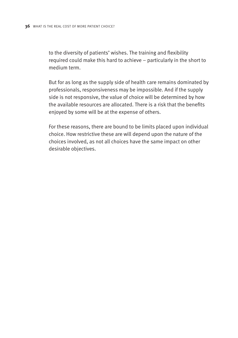to the diversity of patients' wishes. The training and flexibility required could make this hard to achieve – particularly in the short to medium term.

But for as long as the supply side of health care remains dominated by professionals, responsiveness may be impossible. And if the supply side is not responsive, the value of choice will be determined by how the available resources are allocated. There is a risk that the benefits enjoyed by some will be at the expense of others.

For these reasons, there are bound to be limits placed upon individual choice. How restrictive these are will depend upon the nature of the choices involved, as not all choices have the same impact on other desirable objectives.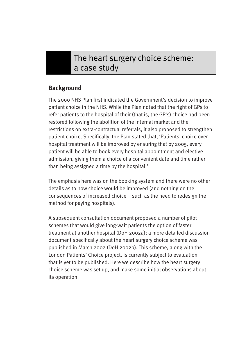# The heart surgery choice scheme: a case study

# **Background**

The 2000 NHS Plan first indicated the Government's decision to improve patient choice in the NHS. While the Plan noted that the right of GPs to refer patients to the hospital of their (that is, the GP's) choice had been restored following the abolition of the internal market and the restrictions on extra-contractual referrals, it also proposed to strengthen patient choice. Specifically, the Plan stated that, 'Patients' choice over hospital treatment will be improved by ensuring that by 2005, every patient will be able to book every hospital appointment and elective admission, giving them a choice of a convenient date and time rather than being assigned a time by the hospital.'

The emphasis here was on the booking system and there were no other details as to how choice would be improved (and nothing on the consequences of increased choice – such as the need to redesign the method for paying hospitals).

A subsequent consultation document proposed a number of pilot schemes that would give long-wait patients the option of faster treatment at another hospital (DoH 2002a); a more detailed discussion document specifically about the heart surgery choice scheme was published in March 2002 (DoH 2002b). This scheme, along with the London Patients' Choice project, is currently subject to evaluation that is yet to be published. Here we describe how the heart surgery choice scheme was set up, and make some initial observations about its operation.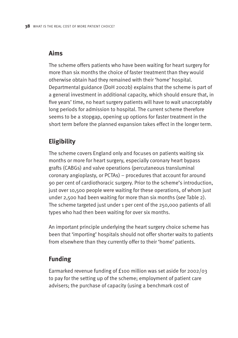# **Aims**

The scheme offers patients who have been waiting for heart surgery for more than six months the choice of faster treatment than they would otherwise obtain had they remained with their 'home' hospital. Departmental guidance (DoH 2002b) explains that the scheme is part of a general investment in additional capacity, which should ensure that, in five years' time, no heart surgery patients will have to wait unacceptably long periods for admission to hospital. The current scheme therefore seems to be a stopgap, opening up options for faster treatment in the short term before the planned expansion takes effect in the longer term.

# **Eligibility**

The scheme covers England only and focuses on patients waiting six months or more for heart surgery, especially coronary heart bypass grafts (CABGs) and valve operations (percutaneous transluminal coronary angioplasty, or PCTAs) – procedures that account for around 90 per cent of cardiothoracic surgery. Prior to the scheme's introduction, just over 10,500 people were waiting for these operations, of whom just under 2,500 had been waiting for more than six months (*see* Table 2). The scheme targeted just under 1 per cent of the 250,000 patients of all types who had then been waiting for over six months.

An important principle underlying the heart surgery choice scheme has been that 'importing' hospitals should not offer shorter waits to patients from elsewhere than they currently offer to their 'home' patients.

# **Funding**

Earmarked revenue funding of £100 million was set aside for 2002/03 to pay for the setting up of the scheme; employment of patient care advisers; the purchase of capacity (using a benchmark cost of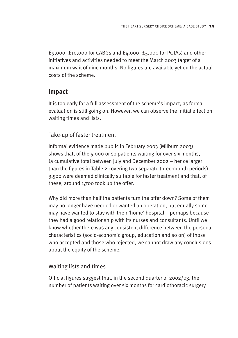£9,000–£10,000 for CABGs and £4,000–£5,000 for PCTAs) and other initiatives and activities needed to meet the March 2003 target of a maximum wait of nine months. No figures are available yet on the actual costs of the scheme.

# **Impact**

It is too early for a full assessment of the scheme's impact, as formal evaluation is still going on. However, we can observe the initial effect on waiting times and lists.

## Take-up of faster treatment

Informal evidence made public in February 2003 (Milburn 2003) shows that, of the 5,000 or so patients waiting for over six months, (a cumulative total between July and December 2002 – hence larger than the figures in Table 2 covering two separate three-month periods), 3,500 were deemed clinically suitable for faster treatment and that, of these, around 1,700 took up the offer.

Why did more than half the patients turn the offer down? Some of them may no longer have needed or wanted an operation, but equally some may have wanted to stay with their 'home' hospital – perhaps because they had a good relationship with its nurses and consultants. Until we know whether there was any consistent difference between the personal characteristics (socio-economic group, education and so on) of those who accepted and those who rejected, we cannot draw any conclusions about the equity of the scheme.

## Waiting lists and times

Official figures suggest that, in the second quarter of 2002/03, the number of patients waiting over six months for cardiothoracic surgery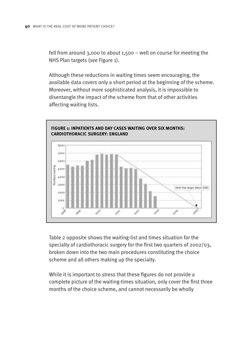fell from around 3,000 to about 1,500 – well on course for meeting the NHS Plan targets (*see* Figure 1).

Although these reductions in waiting times seem encouraging, the available data covers only a short period at the beginning of the scheme. Moreover, without more sophisticated analysis, it is impossible to disentangle the impact of the scheme from that of other activities affecting waiting lists.



Table 2 opposite shows the waiting-list and times situation for the specialty of cardiothoracic surgery for the first two quarters of 2002/03, broken down into the two main procedures constituting the choice scheme and all others making up the specialty.

While it is important to stress that these figures do not provide a complete picture of the waiting-times situation, only cover the first three months of the choice scheme, and cannot necessarily be wholly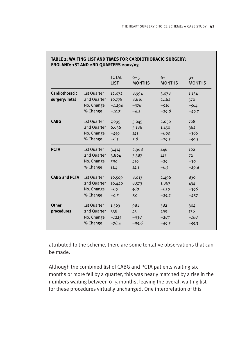|                      |             | <b>TOTAL</b><br><b>LIST</b> | $0 - 5$<br><b>MONTHS</b> | $6+$<br><b>MONTHS</b> | $9+$<br><b>MONTHS</b> |
|----------------------|-------------|-----------------------------|--------------------------|-----------------------|-----------------------|
| Cardiothoracic       | 1st Quarter | 12,072                      | 8,994                    | 3,078                 | 1,134                 |
| surgery: Total       | 2nd Quarter | 10,778                      | 8,616                    | 2,162                 | 570                   |
|                      | No. Change  | $-1,294$                    | $-378$                   | $-916$                | $-564$                |
|                      | % Change    | $-10.7$                     | $-4.2$                   | $-29.8$               | $-49.7$               |
| <b>CABG</b>          | 1st Quarter | 7,095                       | 5,045                    | 2,050                 | 728                   |
|                      | 2nd Quarter | 6,636                       | 5,186                    | 1,450                 | 362                   |
|                      | No. Change  | $-459$                      | 141                      | $-600$                | $-366$                |
|                      | % Change    | $-6.5$                      | 2.8                      | $-29.3$               | $-50.3$               |
| <b>PCTA</b>          | 1st Quarter | 3,414                       | 2,968                    | 446                   | 102                   |
|                      | 2nd Quarter | 3,804                       | 3,387                    | 417                   | 72                    |
|                      | No. Change  | 390                         | 419                      | $-29$                 | $-30$                 |
|                      | % Change    | 11.4                        | 14.1                     | $-6.5$                | $-29.4$               |
| <b>CABG and PCTA</b> | 1st Quarter | 10,509                      | 8,013                    | 2,496                 | 830                   |
|                      | 2nd Quarter | 10,440                      | 8,573                    | 1,867                 | 434                   |
|                      | No. Change  | $-69$                       | 560                      | $-629$                | $-396$                |
|                      | % Change    | $-0.7$                      | 7.0                      | $-25.2$               | $-47.7$               |
| <b>Other</b>         | 1st Quarter | 1,563                       | 981                      | 582                   | 304                   |
| procedures           | 2nd Quarter | 338                         | 43                       | 295                   | 136                   |
|                      | No. Change  | $-1225$                     | $-938$                   | $-287$                | $-168$                |
|                      | % Change    | $-78.4$                     | $-95.6$                  | $-49.3$               | $-55.3$               |

# **TABLE 2: WAITING LIST AND TIMES FOR CARDIOTHORACIC SURGERY:**

attributed to the scheme, there are some tentative observations that can be made.

Although the combined list of CABG and PCTA patients waiting six months or more fell by a quarter, this was nearly matched by a rise in the numbers waiting between 0–5 months, leaving the overall waiting list for these procedures virtually unchanged. One interpretation of this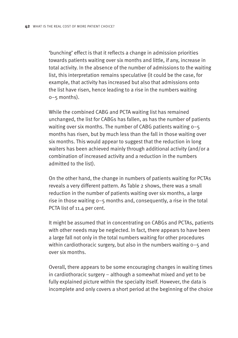'bunching' effect is that it reflects a change in admission priorities towards patients waiting over six months and little, if any, increase in total activity. In the absence of the number of admissions to the waiting list, this interpretation remains speculative (it could be the case, for example, that activity has increased but also that admissions onto the list have risen, hence leading to a rise in the numbers waiting  $0 - 5$  months).

While the combined CABG and PCTA waiting list has remained unchanged, the list for CABGs has fallen, as has the number of patients waiting over six months. The number of CABG patients waiting 0–5 months has risen, but by much less than the fall in those waiting over six months. This would appear to suggest that the reduction in long waiters has been achieved mainly through additional activity (and/or a combination of increased activity and a reduction in the numbers admitted to the list).

On the other hand, the change in numbers of patients waiting for PCTAs reveals a very different pattern. As Table 2 shows, there was a small reduction in the number of patients waiting over six months, a large rise in those waiting 0–5 months and, consequently, a rise in the total PCTA list of 11.4 per cent.

It might be assumed that in concentrating on CABGs and PCTAs, patients with other needs may be neglected. In fact, there appears to have been a large fall not only in the total numbers waiting for other procedures within cardiothoracic surgery, but also in the numbers waiting 0–5 and over six months.

Overall, there appears to be some encouraging changes in waiting times in cardiothoracic surgery – although a somewhat mixed and yet to be fully explained picture within the specialty itself. However, the data is incomplete and only covers a short period at the beginning of the choice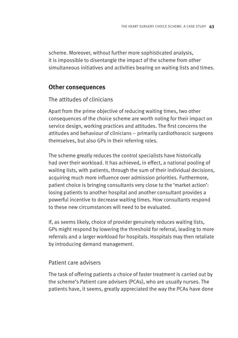scheme. Moreover, without further more sophisticated analysis, it is impossible to disentangle the impact of the scheme from other simultaneous initiatives and activities bearing on waiting lists and times.

#### **Other consequences**

#### The attitudes of clinicians

Apart from the prime objective of reducing waiting times, two other consequences of the choice scheme are worth noting for their impact on service design, working practices and attitudes. The first concerns the attitudes and behaviour of clinicians – primarily cardiothoracic surgeons themselves, but also GPs in their referring roles.

The scheme greatly reduces the control specialists have historically had over their workload. It has achieved, in effect, a national pooling of waiting lists, with patients, through the sum of their individual decisions, acquiring much more influence over admission priorities. Furthermore, patient choice is bringing consultants very close to the 'market action': losing patients to another hospital and another consultant provides a powerful incentive to decrease waiting times. How consultants respond to these new circumstances will need to be evaluated.

If, as seems likely, choice of provider genuinely reduces waiting lists, GPs might respond by lowering the threshold for referral, leading to more referrals and a larger workload for hospitals. Hospitals may then retaliate by introducing demand management.

#### Patient care advisers

The task of offering patients a choice of faster treatment is carried out by the scheme's Patient care advisers (PCAs), who are usually nurses. The patients have, it seems, greatly appreciated the way the PCAs have done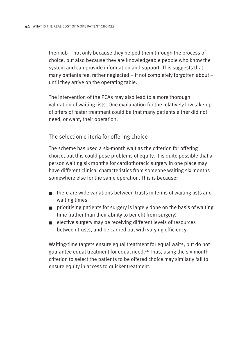their job – not only because they helped them through the process of choice, but also because they are knowledgeable people who know the system and can provide information and support. This suggests that many patients feel rather neglected – if not completely forgotten about – until they arrive on the operating table.

The intervention of the PCAs may also lead to a more thorough validation of waiting lists. One explanation for the relatively low take-up of offers of faster treatment could be that many patients either did not need, or want, their operation.

The selection criteria for offering choice

The scheme has used a six-month wait as the criterion for offering choice, but this could pose problems of equity. It is quite possible that a person waiting six months for cardiothoracic surgery in one place may have different clinical characteristics from someone waiting six months somewhere else for the same operation. This is because:

- there are wide variations between trusts in terms of waiting lists and waiting times
- prioritising patients for surgery is largely done on the basis of waiting time (rather than their ability to benefit from surgery)
- elective surgery may be receiving different levels of resources between trusts, and be carried out with varying efficiency.

Waiting-time targets ensure equal treatment for equal waits, but do not guarantee equal treatment for equal need.14 Thus, using the six-month criterion to select the patients to be offered choice may similarly fail to ensure equity in access to quicker treatment.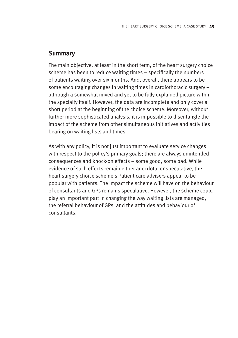#### **Summary**

The main objective, at least in the short term, of the heart surgery choice scheme has been to reduce waiting times – specifically the numbers of patients waiting over six months. And, overall, there appears to be some encouraging changes in waiting times in cardiothoracic surgery – although a somewhat mixed and yet to be fully explained picture within the specialty itself. However, the data are incomplete and only cover a short period at the beginning of the choice scheme. Moreover, without further more sophisticated analysis, it is impossible to disentangle the impact of the scheme from other simultaneous initiatives and activities bearing on waiting lists and times.

As with any policy, it is not just important to evaluate service changes with respect to the policy's primary goals; there are always unintended consequences and knock-on effects – some good, some bad. While evidence of such effects remain either anecdotal or speculative, the heart surgery choice scheme's Patient care advisers appear to be popular with patients. The impact the scheme will have on the behaviour of consultants and GPs remains speculative. However, the scheme could play an important part in changing the way waiting lists are managed, the referral behaviour of GPs, and the attitudes and behaviour of consultants.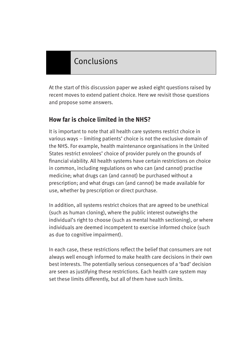# Conclusions

At the start of this discussion paper we asked eight questions raised by recent moves to extend patient choice. Here we revisit those questions and propose some answers.

# **How far is choice limited in the NHS?**

It is important to note that all health care systems restrict choice in various ways – limiting patients' choice is not the exclusive domain of the NHS. For example, health maintenance organisations in the United States restrict enrolees' choice of provider purely on the grounds of financial viability. All health systems have certain restrictions on choice in common, including regulations on who can (and cannot) practise medicine; what drugs can (and cannot) be purchased without a prescription; and what drugs can (and cannot) be made available for use, whether by prescription or direct purchase.

In addition, all systems restrict choices that are agreed to be unethical (such as human cloning), where the public interest outweighs the individual's right to choose (such as mental health sectioning), or where individuals are deemed incompetent to exercise informed choice (such as due to cognitive impairment).

In each case, these restrictions reflect the belief that consumers are not always well enough informed to make health care decisions in their own best interests. The potentially serious consequences of a 'bad' decision are seen as justifying these restrictions. Each health care system may set these limits differently, but all of them have such limits.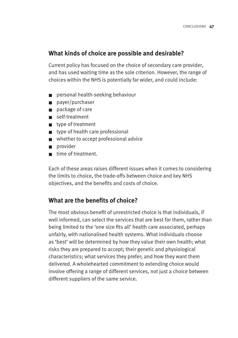#### **What kinds of choice are possible and desirable?**

Current policy has focused on the choice of secondary care provider, and has used waiting time as the sole criterion. However, the range of choices within the NHS is potentially far wider, and could include:

- personal health-seeking behaviour
- payer/purchaser
- package of care
- self-treatment
- type of treatment
- type of health care professional
- whether to accept professional advice
- provider
- time of treatment.

Each of these areas raises different issues when it comes to considering the limits to choice, the trade-offs between choice and key NHS objectives, and the benefits and costs of choice.

## **What are the benefits of choice?**

The most obvious benefit of unrestricted choice is that individuals, if well informed, can select the services that are best for them, rather than being limited to the 'one size fits all' health care associated, perhaps unfairly, with nationalised health systems. What individuals choose as 'best' will be determined by how they value their own health; what risks they are prepared to accept; their genetic and physiological characteristics; what services they prefer; and how they want them delivered. A wholehearted commitment to extending choice would involve offering a range of different services, not just a choice between different suppliers of the same service.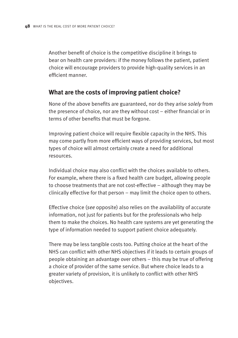Another benefit of choice is the competitive discipline it brings to bear on health care providers: if the money follows the patient, patient choice will encourage providers to provide high-quality services in an efficient manner.

#### **What are the costs of improving patient choice?**

None of the above benefits are guaranteed, nor do they arise *solely* from the presence of choice, nor are they without cost – either financial or in terms of other benefits that must be forgone.

Improving patient choice will require flexible capacity in the NHS. This may come partly from more efficient ways of providing services, but most types of choice will almost certainly create a need for additional resources.

Individual choice may also conflict with the choices available to others. For example, where there is a fixed health care budget, allowing people to choose treatments that are not cost-effective – although they may be clinically effective for that person – may limit the choice open to others.

Effective choice (*see* opposite) also relies on the availability of accurate information, not just for patients but for the professionals who help them to make the choices. No health care systems are yet generating the type of information needed to support patient choice adequately.

There may be less tangible costs too. Putting choice at the heart of the NHS can conflict with other NHS objectives if it leads to certain groups of people obtaining an advantage over others – this may be true of offering a choice of provider of the same service. But where choice leads to a greater variety of provision, it is unlikely to conflict with other NHS objectives.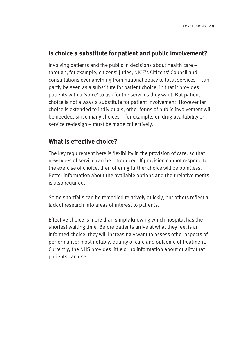#### **Is choice a substitute for patient and public involvement?**

Involving patients and the public in decisions about health care – through, for example, citizens' juries, NICE's Citizens' Council and consultations over anything from national policy to local services – can partly be seen as a substitute for patient choice, in that it provides patients with a 'voice' to ask for the services they want. But patient choice is not always a substitute for patient involvement. However far choice is extended to individuals, other forms of public involvement will be needed, since many choices – for example, on drug availability or service re-design – must be made collectively.

#### **What is effective choice?**

The key requirement here is flexibility in the provision of care, so that new types of service can be introduced. If provision cannot respond to the exercise of choice, then offering further choice will be pointless. Better information about the available options and their relative merits is also required.

Some shortfalls can be remedied relatively quickly, but others reflect a lack of research into areas of interest to patients.

Effective choice is more than simply knowing which hospital has the shortest waiting time. Before patients arrive at what they feel is an informed choice, they will increasingly want to assess other aspects of performance: most notably, quality of care and outcome of treatment. Currently, the NHS provides little or no information about quality that patients can use.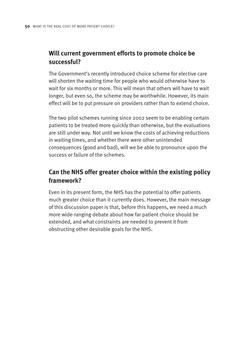# **Will current government efforts to promote choice be successful?**

The Government's recently introduced choice scheme for elective care will shorten the waiting time for people who would otherwise have to wait for six months or more. This will mean that others will have to wait longer, but even so, the scheme may be worthwhile. However, its main effect will be to put pressure on providers rather than to extend choice.

The two pilot schemes running since 2002 seem to be enabling certain patients to be treated more quickly than otherwise, but the evaluations are still under way. Not until we know the costs of achieving reductions in waiting times, and whether there were other unintended consequences (good and bad), will we be able to pronounce upon the success or failure of the schemes.

# **Can the NHS offer greater choice within the existing policy framework?**

Even in its present form, the NHS has the potential to offer patients much greater choice than it currently does. However, the main message of this discussion paper is that, before this happens, we need a much more wide-ranging debate about how far patient choice should be extended, and what constraints are needed to prevent it from obstructing other desirable goals for the NHS.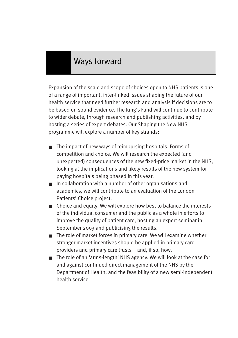# Ways forward

Expansion of the scale and scope of choices open to NHS patients is one of a range of important, inter-linked issues shaping the future of our health service that need further research and analysis if decisions are to be based on sound evidence. The King's Fund will continue to contribute to wider debate, through research and publishing activities, and by hosting a series of expert debates. Our Shaping the New NHS programme will explore a number of key strands:

- The impact of new ways of reimbursing hospitals. Forms of competition and choice. We will research the expected (and unexpected) consequences of the new fixed-price market in the NHS, looking at the implications and likely results of the new system for paying hospitals being phased in this year.
- In collaboration with a number of other organisations and academics, we will contribute to an evaluation of the London Patients' Choice project.
- Choice and equity. We will explore how best to balance the interests of the individual consumer and the public as a whole in efforts to improve the quality of patient care, hosting an expert seminar in September 2003 and publicising the results.
- The role of market forces in primary care. We will examine whether stronger market incentives should be applied in primary care providers and primary care trusts – and, if so, how.
- The role of an 'arms-length' NHS agency. We will look at the case for and against continued direct management of the NHS by the Department of Health, and the feasibility of a new semi-independent health service.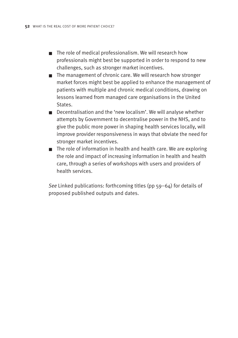- The role of medical professionalism. We will research how professionals might best be supported in order to respond to new challenges, such as stronger market incentives.
- The management of chronic care. We will research how stronger market forces might best be applied to enhance the management of patients with multiple and chronic medical conditions, drawing on lessons learned from managed care organisations in the United States.
- Decentralisation and the 'new localism'. We will analyse whether attempts by Government to decentralise power in the NHS, and to give the public more power in shaping health services locally, will improve provider responsiveness in ways that obviate the need for stronger market incentives.
- The role of information in health and health care. We are exploring the role and impact of increasing information in health and health care, through a series of workshops with users and providers of health services.

*See* Linked publications: forthcoming titles (pp 59–64) for details of proposed published outputs and dates.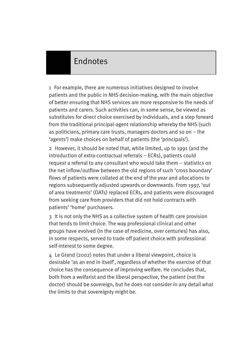# Endnotes

1 For example, there are numerous initiatives designed to involve patients and the public in NHS decision-making, with the main objective of better ensuring that NHS services are more responsive to the needs of patients and carers. Such activities can, in some sense, be viewed as substitutes for direct choice exercised by individuals, and a step forward from the traditional principal-agent relationship whereby the NHS (such as politicians, primary care trusts, managers doctors and so on – the 'agents') make choices on behalf of patients (the 'principals').

2 However, it should be noted that, while limited, up to 1991 (and the introduction of extra-contractual referrals – ECRs), patients could request a referral to any consultant who would take them – statistics on the net inflow/outflow between the old regions of such 'cross boundary' flows of patients were collated at the end of the year and allocations to regions subsequently adjusted upwards or downwards. From 1997, 'out of area treatments' (OATs) replaced ECRs, and patients were discouraged from seeking care from providers that did not hold contracts with patients' 'home' purchasers.

3 It is not only the NHS as a collective system of health care provision that tends to limit choice. The way professional clinical and other groups have evolved (in the case of medicine, over centuries) has also, in some respects, served to trade off patient choice with professional self-interest to some degree.

4 Le Grand (2002) notes that under a liberal viewpoint, choice is desirable 'as an end in itself', regardless of whether the exercise of that choice has the consequence of improving welfare. He concludes that, both from a welfarist and the liberal perspective, the patient (not the doctor) should be sovereign, but he does not consider in any detail what the limits to that sovereignty might be.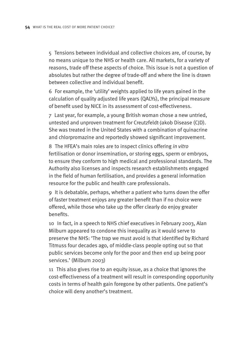5 Tensions between individual and collective choices are, of course, by no means unique to the NHS or health care. All markets, for a variety of reasons, trade off these aspects of choice. This issue is not a question of absolutes but rather the degree of trade-off and where the line is drawn between collective and individual benefit.

6 For example, the 'utility' weights applied to life years gained in the calculation of quality adjusted life years (QALYs), the principal measure of benefit used by NICE in its assessment of cost-effectiveness.

7 Last year, for example, a young British woman chose a new untried, untested and unproven treatment for Creutzfeldt-Jakob Disease (CJD). She was treated in the United States with a combination of quinacrine and chlorpromazine and reportedly showed significant improvement.

8 The HFEA's main roles are to inspect clinics offering *in vitro* fertilisation or donor insemination, or storing eggs, sperm or embryos, to ensure they conform to high medical and professional standards. The Authority also licenses and inspects research establishments engaged in the field of human fertilisation, and provides a general information resource for the public and health care professionals.

9 It is debatable, perhaps, whether a patient who turns down the offer of faster treatment enjoys any greater benefit than if no choice were offered, while those who take up the offer clearly do enjoy greater benefits.

10 In fact, in a speech to NHS chief executives in February 2003, Alan Milburn appeared to condone this inequality as it would serve to preserve the NHS: 'The trap we must avoid is that identified by Richard Titmuss four decades ago, of middle-class people opting out so that public services become only for the poor and then end up being poor services.' (Milburn 2003)

11 This also gives rise to an equity issue, as a choice that ignores the cost-effectiveness of a treatment will result in corresponding opportunity costs in terms of health gain foregone by other patients. One patient's choice will deny another's treatment.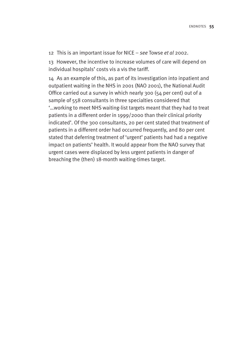12 This is an important issue for NICE – *see* Towse *et al* 2002.

13 However, the incentive to increase volumes of care will depend on individual hospitals' costs vis a vis the tariff.

14 As an example of this, as part of its investigation into inpatient and outpatient waiting in the NHS in 2001 (NAO 2001), the National Audit Office carried out a survey in which nearly 300 (54 per cent) out of a sample of 558 consultants in three specialties considered that '…working to meet NHS waiting-list targets meant that they had to treat patients in a different order in 1999/2000 than their clinical priority indicated'. Of the 300 consultants, 20 per cent stated that treatment of patients in a different order had occurred frequently, and 80 per cent stated that deferring treatment of 'urgent' patients had had a negative impact on patients' health. It would appear from the NAO survey that urgent cases were displaced by less urgent patients in danger of breaching the (then) 18-month waiting-times target.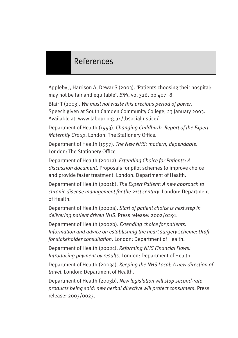# References

Appleby J, Harrison A, Dewar S (2003). 'Patients choosing their hospital: may not be fair and equitable'. *BMJ*, vol 326, pp 407–8.

Blair T (2003). *We must not waste this precious period of power*. Speech given at South Camden Community College, 23 January 2003. Available at: www.labour.org.uk/tbsocialjustice/

Department of Health (1993). *Changing Childbirth. Report of the Expert Maternity Group*. London: The Stationery Office.

Department of Health (1997). *The New NHS: modern, dependable*. London: The Stationery Office

Department of Health (2001a). *Extending Choice for Patients: A discussion document*. Proposals for pilot schemes to improve choice and provide faster treatment. London: Department of Health.

Department of Health (2001b). *The Expert Patient: A new approach to chronic disease management for the 21st century*. London: Department of Health.

Department of Health (2002a). *Start of patient choice is next step in delivering patient driven NHS*. Press release: 2002/0291.

Department of Health (2002b). *Extending choice for patients: Information and advice on establishing the heart surgery scheme: Draft for stakeholder consultation*. London: Department of Health.

Department of Health (2002c). *Reforming NHS Financial Flows: Introducing payment by results*. London: Department of Health.

Department of Health (2003a). *Keeping the NHS Local: A new direction of travel*. London: Department of Health.

Department of Health (2003b). *New legislation will stop second-rate products being sold: new herbal directive will protect consumers*. Press release: 2003/0023.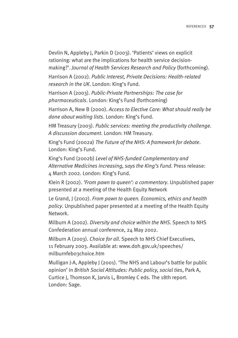Devlin N, Appleby J, Parkin D (2003). 'Patients' views on explicit rationing: what are the implications for health service decisionmaking?'. *Journal of Health Services Research and Policy* (forthcoming).

Harrison A (2002). *Public Interest, Private Decisions: Health-related research in the UK*. London: King's Fund.

Harrison A (2003). *Public-Private Partnerships: The case for pharmaceuticals*. London: King's Fund (forthcoming)

Harrison A, New B (2000). *Access to Elective Care: What should really be done about waiting lists*. London: King's Fund.

HM Treasury (2003). *Public services: meeting the productivity challenge. A discussion document*. London: HM Treasury.

King's Fund (2002a) *The Future of the NHS: A framework for debate*. London: King's Fund.

King's Fund (2002b) *Level of NHS-funded Complementary and Alternative Medicines increasing, says the King's Fund*. Press release: 4 March 2002. London: King's Fund.

Klein R (2002). *'From pawn to queen': a commentary*. Unpublished paper presented at a meeting of the Health Equity Network

Le Grand, J (2002). *From pawn to queen. Economics, ethics and health policy*. Unpublished paper presented at a meeting of the Health Equity Network.

Milburn A (2002). *Diversity and choice within the NHS*. Speech to NHS Confederation annual conference, 24 May 2002.

Milburn A (2003). *Choice for all*. Speech to NHS Chief Executives, 11 February 2003. Available at: www.doh.gov.uk/speeches/ milburnfeb03choice.htm

Mulligan J-A, Appleby J (2001). 'The NHS and Labour's battle for public opinion' in *British Social Attitudes: Public policy, social ties*, Park A, Curtice J, Thomson K, Jarvis L, Bromley C eds. The 18th report. London: Sage.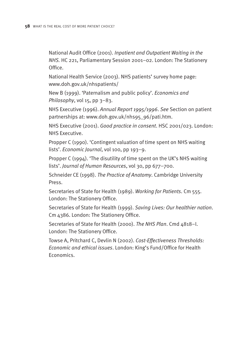National Audit Office (2001). *Inpatient and Outpatient Waiting in the NHS.* HC 221, Parliamentary Session 2001–02. London: The Stationery Office.

National Health Service (2003). NHS patients' survey home page: www.doh.gov.uk/nhspatients/

New B (1999). 'Paternalism and public policy'. *Economics and Philosophy*, vol 15, pp 3–83.

NHS Executive (1996). *Annual Report 1995/1996*. *See* Section on patient partnerships at: www.doh.gov.uk/nhs95\_96/pati.htm.

NHS Executive (2001). *Good practice in consent*. HSC 2001/023. London: NHS Executive.

Propper C (1990). 'Contingent valuation of time spent on NHS waiting lists'. *Economic Journal*, vol 100, pp 193–9.

Propper C (1994). 'The disutility of time spent on the UK's NHS waiting lists'. *Journal of Human Resources*, vol 30, pp 677–700.

Schneider CE (1998). *The Practice of Anatomy*. Cambridge University Press.

Secretaries of State for Health (1989). *Working for Patients*. Cm 555. London: The Stationery Office.

Secretaries of State for Health (1999). *Saving Lives: Our healthier nation*. Cm 4386. London: The Stationery Office.

Secretaries of State for Health (2000). *The NHS Plan*. Cmd 4818–I. London: The Stationery Office.

Towse A, Pritchard C, Devlin N (2002). *Cost-Effectiveness Thresholds: Economic and ethical issues*. London: King's Fund/Office for Health Economics.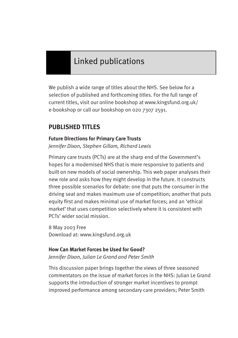# Linked publications

We publish a wide range of titles about the NHS. See below for a selection of published and forthcoming titles. For the full range of current titles, visit our online bookshop at www.kingsfund.org.uk/ e-bookshop or call our bookshop on 020 7307 2591.

# **PUBLISHED TITLES**

#### **Future Directions for Primary Care Trusts**

*Jennifer Dixon, Stephen Gillam, Richard Lewis*

Primary care trusts (PCTs) are at the sharp end of the Government's hopes for a modernised NHS that is more responsive to patients and built on new models of social ownership. This web paper analyses their new role and asks how they might develop in the future. It constructs three possible scenarios for debate: one that puts the consumer in the driving seat and makes maximum use of competition; another that puts equity first and makes minimal use of market forces; and an 'ethical market' that uses competition selectively where it is consistent with PCTs' wider social mission.

8 May 2003 Free Download at: www.kingsfund.org.uk

#### **How Can Market Forces be Used for Good?**

*Jennifer Dixon, Julian Le Grand and Peter Smith*

This discussion paper brings together the views of three seasoned commentators on the issue of market forces in the NHS: Julian Le Grand supports the introduction of stronger market incentives to prompt improved performance among secondary care providers; Peter Smith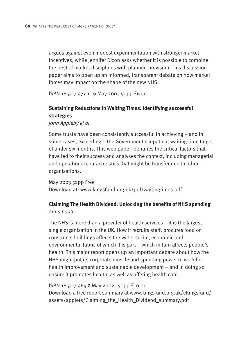argues against even modest experimentation with stronger market incentives: while Jennifer Dixon asks whether it is possible to combine the best of market disciplines with planned provision. This discussion paper aims to open up an informed, transparent debate on how market forces may impact on the shape of the new NHS.

ISBN 185717 477 1 19 May 2003 50pp £6.50

#### **Sustaining Reductions in Waiting Times: Identifying successful strategies**

*John Appleby et al*

Some trusts have been consistently successful in achieving – and in some cases, exceeding – the Government's inpatient waiting-time target of under six months. This web paper identifies the critical factors that have led to their success and analyses the context, including managerial and operational characteristics that might be transferable to other organisations.

May 2003 52pp Free Download at: www.kingsfund.org.uk/pdf/waitingtimes.pdf

#### **Claiming The Health Dividend: Unlocking the benefits of NHS spending** *Anna Coote*

The NHS is more than a provider of health services – it is the largest single organisation in the UK. How it recruits staff, procures food or constructs buildings affects the wider social, economic and environmental fabric of which it is part – which in turn affects people's health. This major report opens up an important debate about how the NHS might put its corporate muscle and spending power to work for health improvement and sustainable development – and in doing so ensure it promotes health, as well as offering health care.

#### ISBN 185717 464 X May 2002 150pp £10.00 Download a free report summary at www.kingsfund.org.uk/eKingsfund/ assets/applets/Claiming\_the\_Health\_Dividend\_summary.pdf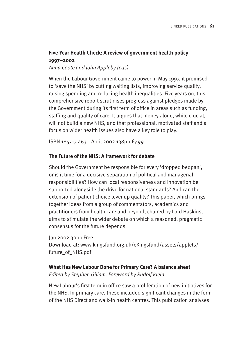## **Five-Year Health Check: A review of government health policy 1997–2002**

*Anna Coote and John Appleby (eds)*

When the Labour Government came to power in May 1997, it promised to 'save the NHS' by cutting waiting lists, improving service quality, raising spending and reducing health inequalities. Five years on, this comprehensive report scrutinises progress against pledges made by the Government during its first term of office in areas such as funding, staffing and quality of care. It argues that money alone, while crucial, will not build a new NHS, and that professional, motivated staff and a focus on wider health issues also have a key role to play.

ISBN 185717 463 1 April 2002 138pp £7.99

#### **The Future of the NHS: A framework for debate**

Should the Government be responsible for every 'dropped bedpan', or is it time for a decisive separation of political and managerial responsibilities? How can local responsiveness and innovation be supported alongside the drive for national standards? And can the extension of patient choice lever up quality? This paper, which brings together ideas from a group of commentators, academics and practitioners from health care and beyond, chaired by Lord Haskins, aims to stimulate the wider debate on which a reasoned, pragmatic consensus for the future depends.

Jan 2002 30pp Free Download at: www.kingsfund.org.uk/eKingsfund/assets/applets/ future\_of\_NHS.pdf

**What Has New Labour Done for Primary Care? A balance sheet** *Edited by Stephen Gillam. Foreword by Rudolf Klein*

New Labour's first term in office saw a proliferation of new initiatives for the NHS. In primary care, these included significant changes in the form of the NHS Direct and walk-in health centres. This publication analyses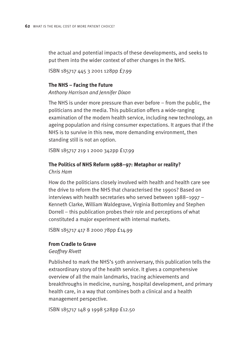the actual and potential impacts of these developments, and seeks to put them into the wider context of other changes in the NHS.

ISBN 185717 445 3 2001 128pp £7.99

# **The NHS – Facing the Future**

#### *Anthony Harrison and Jennifer Dixon*

The NHS is under more pressure than ever before – from the public, the politicians and the media. This publication offers a wide-ranging examination of the modern health service, including new technology, an ageing population and rising consumer expectations. It argues that if the NHS is to survive in this new, more demanding environment, then standing still is not an option.

ISBN 185717 219 1 2000 342pp £17.99

#### **The Politics of NHS Reform 1988–97: Metaphor or reality?**  *Chris Ham*

How do the politicians closely involved with health and health care see the drive to reform the NHS that characterised the 1990s? Based on interviews with health secretaries who served between 1988–1997 – Kenneth Clarke, William Waldegrave, Virginia Bottomley and Stephen Dorrell – this publication probes their role and perceptions of what constituted a major experiment with internal markets.

ISBN 185717 417 8 2000 78pp £14.99

#### **From Cradle to Grave**

*Geoffrey Rivett*

Published to mark the NHS's 50th anniversary, this publication tells the extraordinary story of the health service. It gives a comprehensive overview of all the main landmarks, tracing achievements and breakthroughs in medicine, nursing, hospital development, and primary health care, in a way that combines both a clinical and a health management perspective.

ISBN 185717 148 9 1998 528pp £12.50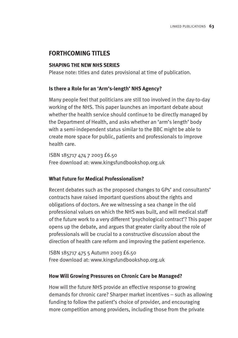# **FORTHCOMING TITLES**

#### **SHAPING THE NEW NHS SERIES**

Please note: titles and dates provisional at time of publication.

#### **Is there a Role for an 'Arm's-length' NHS Agency?**

Many people feel that politicians are still too involved in the day-to-day working of the NHS. This paper launches an important debate about whether the health service should continue to be directly managed by the Department of Health, and asks whether an 'arm's length' body with a semi-independent status similar to the BBC might be able to create more space for public, patients and professionals to improve health care.

ISBN 185717 474 7 2003 £6.50 Free download at: www.kingsfundbookshop.org.uk

#### **What Future for Medical Professionalism?**

Recent debates such as the proposed changes to GPs' and consultants' contracts have raised important questions about the rights and obligations of doctors. Are we witnessing a sea change in the old professional values on which the NHS was built, and will medical staff of the future work to a very different 'psychological contract'? This paper opens up the debate, and argues that greater clarity about the role of professionals will be crucial to a constructive discussion about the direction of health care reform and improving the patient experience.

ISBN 185717 475 5 Autumn 2003 £6.50 Free download at: www.kingsfundbookshop.org.uk

#### **How Will Growing Pressures on Chronic Care be Managed?**

How will the future NHS provide an effective response to growing demands for chronic care? Sharper market incentives – such as allowing funding to follow the patient's choice of provider, and encouraging more competition among providers, including those from the private